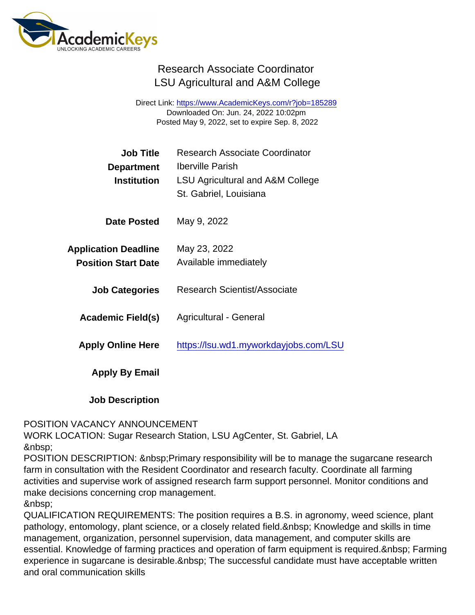## Research Associate Coordinator LSU Agricultural and A&M College

Direct Link: <https://www.AcademicKeys.com/r?job=185289> Downloaded On: Jun. 24, 2022 10:02pm Posted May 9, 2022, set to expire Sep. 8, 2022

| Job Title<br>Department                                   | <b>Research Associate Coordinator</b><br>Iberville Parish  |
|-----------------------------------------------------------|------------------------------------------------------------|
| Institution                                               | LSU Agricultural and A&M College<br>St. Gabriel, Louisiana |
| Date Posted                                               | May 9, 2022                                                |
| <b>Application Deadline</b><br><b>Position Start Date</b> | May 23, 2022<br>Available immediately                      |
| <b>Job Categories</b>                                     | <b>Research Scientist/Associate</b>                        |
| Academic Field(s)                                         | Agricultural - General                                     |
| <b>Apply Online Here</b>                                  | https://lsu.wd1.myworkdayjobs.com/LSU                      |
| Apply By Email                                            |                                                            |
|                                                           |                                                            |

Job Description

## POSITION VACANCY ANNOUNCEMENT

WORK LOCATION: Sugar Research Station, LSU AgCenter, St. Gabriel, LA 

POSITION DESCRIPTION: Primary responsibility will be to manage the sugarcane research farm in consultation with the Resident Coordinator and research faculty. Coordinate all farming activities and supervise work of assigned research farm support personnel. Monitor conditions and make decisions concerning crop management.

QUALIFICATION REQUIREMENTS: The position requires a B.S. in agronomy, weed science, plant pathology, entomology, plant science, or a closely related field. Knowledge and skills in time management, organization, personnel supervision, data management, and computer skills are essential. Knowledge of farming practices and operation of farm equipment is required. Farming experience in sugarcane is desirable. The successful candidate must have acceptable written and oral communication skills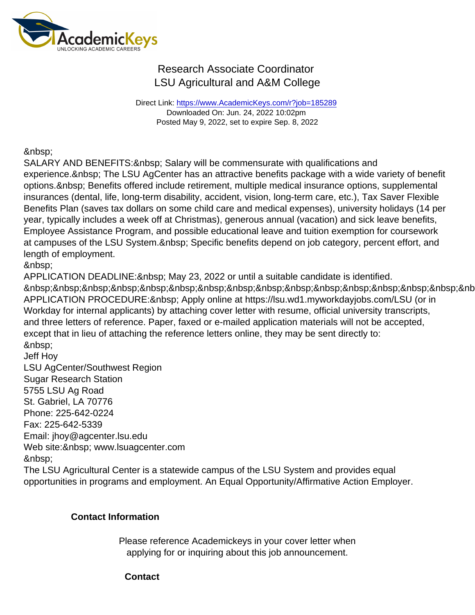## Research Associate Coordinator LSU Agricultural and A&M College

Direct Link: <https://www.AcademicKeys.com/r?job=185289> Downloaded On: Jun. 24, 2022 10:02pm Posted May 9, 2022, set to expire Sep. 8, 2022

SALARY AND BENEFITS: & nbsp; Salary will be commensurate with qualifications and experience. The LSU AgCenter has an attractive benefits package with a wide variety of benefit options. Benefits offered include retirement, multiple medical insurance options, supplemental insurances (dental, life, long-term disability, accident, vision, long-term care, etc.), Tax Saver Flexible Benefits Plan (saves tax dollars on some child care and medical expenses), university holidays (14 per year, typically includes a week off at Christmas), generous annual (vacation) and sick leave benefits, Employee Assistance Program, and possible educational leave and tuition exemption for coursework at campuses of the LSU System. & nbsp; Specific benefits depend on job category, percent effort, and length of employment.

APPLICATION DEADLINE: & nbsp; May 23, 2022 or until a suitable candidate is identified. &nb APPLICATION PROCEDURE: & nbsp; Apply online at https://lsu.wd1.myworkdayjobs.com/LSU (or in Workday for internal applicants) by attaching cover letter with resume, official university transcripts, and three letters of reference. Paper, faxed or e-mailed application materials will not be accepted, except that in lieu of attaching the reference letters online, they may be sent directly to: 

Jeff Hoy LSU AgCenter/Southwest Region Sugar Research Station 5755 LSU Ag Road St. Gabriel, LA 70776 Phone: 225-642-0224 Fax: 225-642-5339 Email: jhoy@agcenter.lsu.edu Web site: & nbsp; www.lsuagcenter.com 

The LSU Agricultural Center is a statewide campus of the LSU System and provides equal opportunities in programs and employment. An Equal Opportunity/Affirmative Action Employer.

Contact Information

Please reference Academickeys in your cover letter when applying for or inquiring about this job announcement.

**Contact**